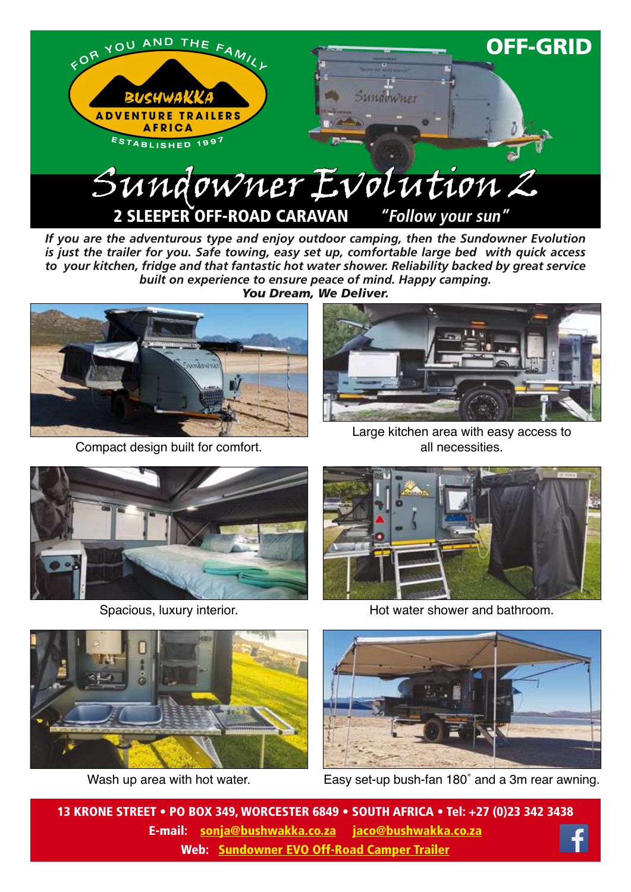

*If you are the adventurous type and enjoy outdoor camping, then the Sundowner Evolution is just the trailer for you. Safe towing, easy set up, comfortable large bed with quick access to your kitchen, fridge and that fantastic hot water shower. Reliability backed by great service built on experience to ensure peace of mind. Happy camping. You Dream, We Deliver.*



Compact design built for comfort.



Large kitchen area with easy access to all necessities.



Spacious, luxury interior.





Wash up area with hot water.

Hot water shower and bathroom.



Easy set-up bush-fan 180˚ and a 3m rear awning.

13 KRONE STREET • PO BOX 349, WORCESTER 6849 • SOUTH AFRICA • Tel: +27 (0)23 342 3438 E-mail: sonja@bushwakka.co.za jaco@bushwakka.co.za Web: [Sundowner EVO Off-Road Camper Trailer](https://bushwakka.co.za/sundowner-evo-off-road-camper/?utm_source=website&utm_medium=ebrochure&utm_campaign=sd-evo&utm_id=SD+EVO)